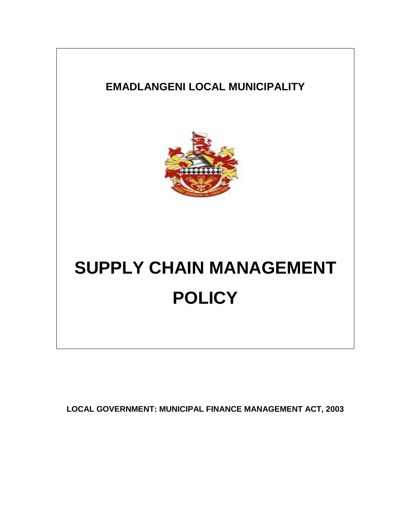# **EMADLANGENI LOCAL MUNICIPALITY**



# **SUPPLY CHAIN MANAGEMENT POLICY**

**LOCAL GOVERNMENT: MUNICIPAL FINANCE MANAGEMENT ACT, 2003**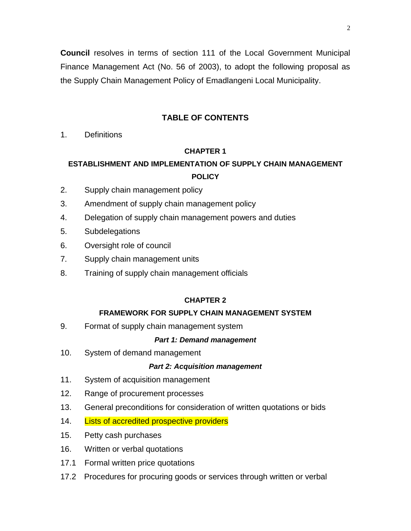**Council** resolves in terms of section 111 of the Local Government Municipal Finance Management Act (No. 56 of 2003), to adopt the following proposal as the Supply Chain Management Policy of Emadlangeni Local Municipality.

# **TABLE OF CONTENTS**

1. Definitions

# **CHAPTER 1**

# **ESTABLISHMENT AND IMPLEMENTATION OF SUPPLY CHAIN MANAGEMENT POLICY**

- 2. Supply chain management policy
- 3. Amendment of supply chain management policy
- 4. Delegation of supply chain management powers and duties
- 5. Subdelegations
- 6. Oversight role of council
- 7. Supply chain management units
- 8. Training of supply chain management officials

# **CHAPTER 2**

# **FRAMEWORK FOR SUPPLY CHAIN MANAGEMENT SYSTEM**

9. Format of supply chain management system

#### *Part 1: Demand management*

10. System of demand management

# *Part 2: Acquisition management*

- 11. System of acquisition management
- 12. Range of procurement processes
- 13. General preconditions for consideration of written quotations or bids
- 14. Lists of accredited prospective providers
- 15. Petty cash purchases
- 16. Written or verbal quotations
- 17.1 Formal written price quotations
- 17.2 Procedures for procuring goods or services through written or verbal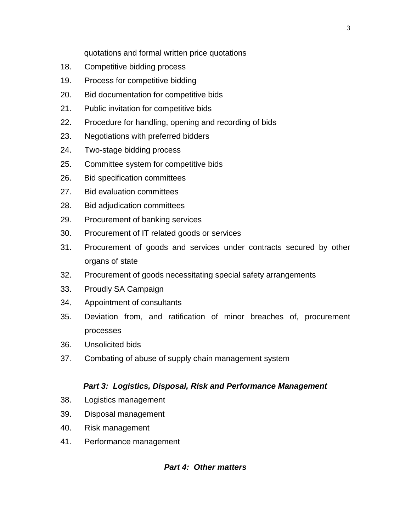quotations and formal written price quotations

- 18. Competitive bidding process
- 19. Process for competitive bidding
- 20. Bid documentation for competitive bids
- 21. Public invitation for competitive bids
- 22. Procedure for handling, opening and recording of bids
- 23. Negotiations with preferred bidders
- 24. Two-stage bidding process
- 25. Committee system for competitive bids
- 26. Bid specification committees
- 27. Bid evaluation committees
- 28. Bid adjudication committees
- 29. Procurement of banking services
- 30. Procurement of IT related goods or services
- 31. Procurement of goods and services under contracts secured by other organs of state
- 32. Procurement of goods necessitating special safety arrangements
- 33. Proudly SA Campaign
- 34. Appointment of consultants
- 35. Deviation from, and ratification of minor breaches of, procurement processes
- 36. Unsolicited bids
- 37. Combating of abuse of supply chain management system

# *Part 3: Logistics, Disposal, Risk and Performance Management*

- 38. Logistics management
- 39. Disposal management
- 40. Risk management
- 41. Performance management

# *Part 4: Other matters*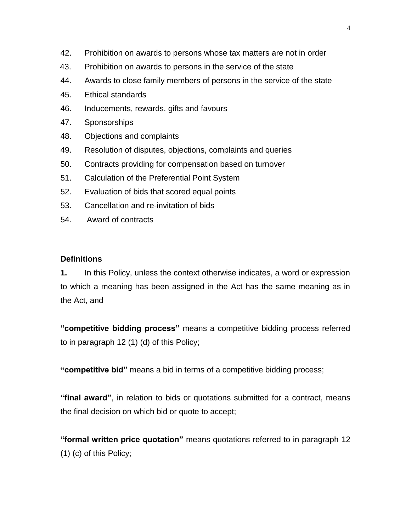- 42. Prohibition on awards to persons whose tax matters are not in order
- 43. Prohibition on awards to persons in the service of the state
- 44. Awards to close family members of persons in the service of the state
- 45. Ethical standards
- 46. Inducements, rewards, gifts and favours
- 47. Sponsorships
- 48. Objections and complaints
- 49. Resolution of disputes, objections, complaints and queries
- 50. Contracts providing for compensation based on turnover
- 51. Calculation of the Preferential Point System
- 52. Evaluation of bids that scored equal points
- 53. Cancellation and re-invitation of bids
- 54. Award of contracts

#### **Definitions**

**1.** In this Policy, unless the context otherwise indicates, a word or expression to which a meaning has been assigned in the Act has the same meaning as in the Act, and –

**"competitive bidding process"** means a competitive bidding process referred to in paragraph 12 (1) (d) of this Policy;

**"competitive bid"** means a bid in terms of a competitive bidding process;

**"final award"**, in relation to bids or quotations submitted for a contract, means the final decision on which bid or quote to accept;

**"formal written price quotation"** means quotations referred to in paragraph 12 (1) (c) of this Policy;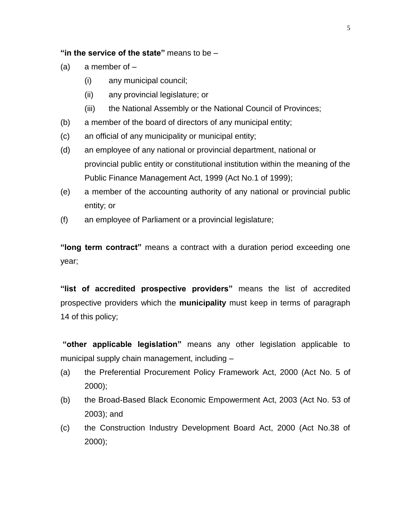#### **"in the service of the state"** means to be –

- $(a)$  a member of  $-$ 
	- (i) any municipal council;
	- (ii) any provincial legislature; or
	- (iii) the National Assembly or the National Council of Provinces;
- (b) a member of the board of directors of any municipal entity;
- (c) an official of any municipality or municipal entity;
- (d) an employee of any national or provincial department, national or provincial public entity or constitutional institution within the meaning of the Public Finance Management Act, 1999 (Act No.1 of 1999);
- (e) a member of the accounting authority of any national or provincial public entity; or
- (f) an employee of Parliament or a provincial legislature;

**"long term contract"** means a contract with a duration period exceeding one year;

**"list of accredited prospective providers"** means the list of accredited prospective providers which the **municipality** must keep in terms of paragraph 14 of this policy;

**"other applicable legislation"** means any other legislation applicable to municipal supply chain management, including –

- (a) the Preferential Procurement Policy Framework Act, 2000 (Act No. 5 of 2000);
- (b) the Broad-Based Black Economic Empowerment Act, 2003 (Act No. 53 of 2003); and
- (c) the Construction Industry Development Board Act, 2000 (Act No.38 of 2000);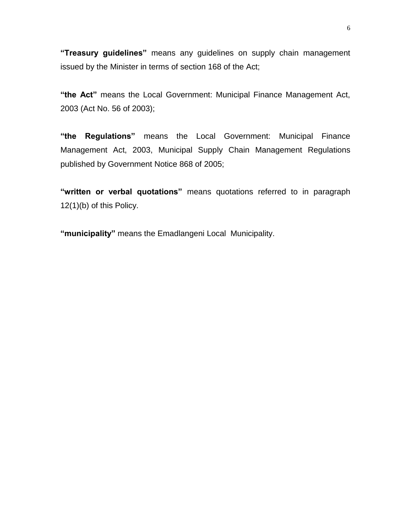**"Treasury guidelines"** means any guidelines on supply chain management issued by the Minister in terms of section 168 of the Act;

**"the Act"** means the Local Government: Municipal Finance Management Act, 2003 (Act No. 56 of 2003);

**"the Regulations"** means the Local Government: Municipal Finance Management Act, 2003, Municipal Supply Chain Management Regulations published by Government Notice 868 of 2005;

**"written or verbal quotations"** means quotations referred to in paragraph 12(1)(b) of this Policy.

**"municipality"** means the Emadlangeni Local Municipality.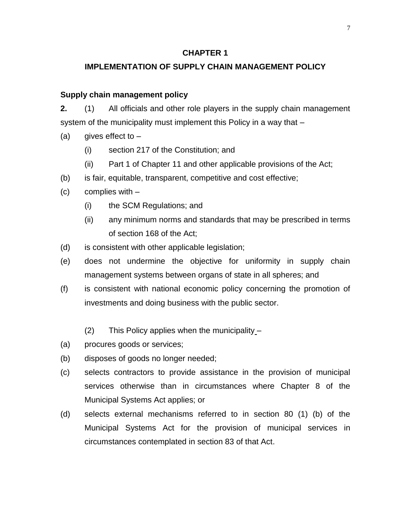# **CHAPTER 1**

# **IMPLEMENTATION OF SUPPLY CHAIN MANAGEMENT POLICY**

# **Supply chain management policy**

**2.** (1) All officials and other role players in the supply chain management system of the municipality must implement this Policy in a way that –

- (a) gives effect to  $-$ 
	- (i) section 217 of the Constitution; and
	- (ii) Part 1 of Chapter 11 and other applicable provisions of the Act;
- (b) is fair, equitable, transparent, competitive and cost effective;
- (c) complies with
	- (i) the SCM Regulations; and
	- (ii) any minimum norms and standards that may be prescribed in terms of section 168 of the Act;
- (d) is consistent with other applicable legislation;
- (e) does not undermine the objective for uniformity in supply chain management systems between organs of state in all spheres; and
- (f) is consistent with national economic policy concerning the promotion of investments and doing business with the public sector.
	- (2) This Policy applies when the municipality –
- (a) procures goods or services;
- (b) disposes of goods no longer needed;
- (c) selects contractors to provide assistance in the provision of municipal services otherwise than in circumstances where Chapter 8 of the Municipal Systems Act applies; or
- (d) selects external mechanisms referred to in section 80 (1) (b) of the Municipal Systems Act for the provision of municipal services in circumstances contemplated in section 83 of that Act.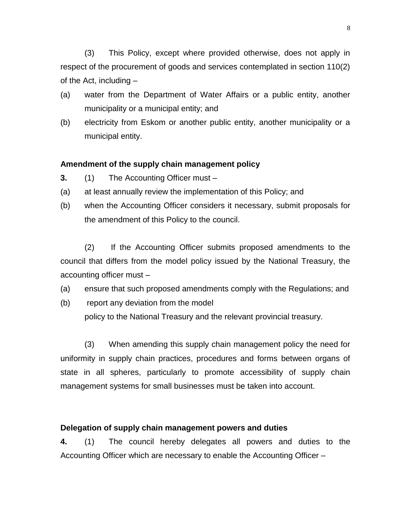(3) This Policy, except where provided otherwise, does not apply in respect of the procurement of goods and services contemplated in section 110(2) of the Act, including –

- (a) water from the Department of Water Affairs or a public entity, another municipality or a municipal entity; and
- (b) electricity from Eskom or another public entity, another municipality or a municipal entity.

#### **Amendment of the supply chain management policy**

- **3.** (1) The Accounting Officer must –
- (a) at least annually review the implementation of this Policy; and
- (b) when the Accounting Officer considers it necessary, submit proposals for the amendment of this Policy to the council.

(2) If the Accounting Officer submits proposed amendments to the council that differs from the model policy issued by the National Treasury, the accounting officer must –

- (a) ensure that such proposed amendments comply with the Regulations; and
- (b) report any deviation from the model

policy to the National Treasury and the relevant provincial treasury.

(3) When amending this supply chain management policy the need for uniformity in supply chain practices, procedures and forms between organs of state in all spheres, particularly to promote accessibility of supply chain management systems for small businesses must be taken into account.

#### **Delegation of supply chain management powers and duties**

**4.** (1) The council hereby delegates all powers and duties to the Accounting Officer which are necessary to enable the Accounting Officer –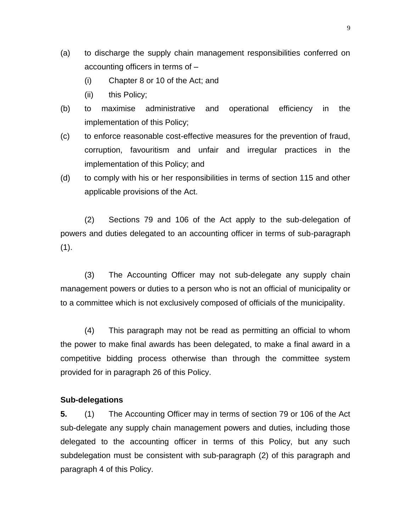- (a) to discharge the supply chain management responsibilities conferred on accounting officers in terms of –
	- (i) Chapter 8 or 10 of the Act; and
	- (ii) this Policy;
- (b) to maximise administrative and operational efficiency in the implementation of this Policy;
- (c) to enforce reasonable cost-effective measures for the prevention of fraud, corruption, favouritism and unfair and irregular practices in the implementation of this Policy; and
- (d) to comply with his or her responsibilities in terms of section 115 and other applicable provisions of the Act.

(2) Sections 79 and 106 of the Act apply to the sub-delegation of powers and duties delegated to an accounting officer in terms of sub-paragraph  $(1).$ 

(3) The Accounting Officer may not sub-delegate any supply chain management powers or duties to a person who is not an official of municipality or to a committee which is not exclusively composed of officials of the municipality.

(4) This paragraph may not be read as permitting an official to whom the power to make final awards has been delegated, to make a final award in a competitive bidding process otherwise than through the committee system provided for in paragraph 26 of this Policy.

#### **Sub-delegations**

**5.** (1) The Accounting Officer may in terms of section 79 or 106 of the Act sub-delegate any supply chain management powers and duties, including those delegated to the accounting officer in terms of this Policy, but any such subdelegation must be consistent with sub-paragraph (2) of this paragraph and paragraph 4 of this Policy.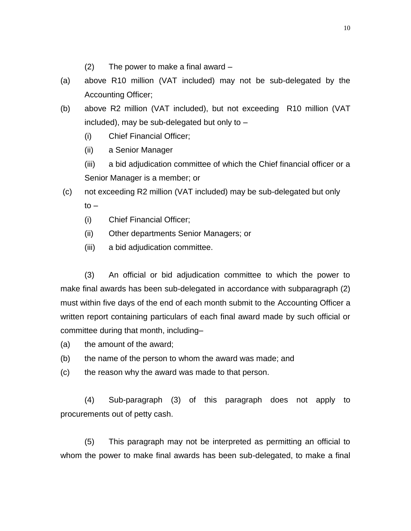- (2) The power to make a final award –
- (a) above R10 million (VAT included) may not be sub-delegated by the Accounting Officer;
- (b) above R2 million (VAT included), but not exceeding R10 million (VAT included), may be sub-delegated but only to –
	- (i) Chief Financial Officer;
	- (ii) a Senior Manager
	- (iii) a bid adjudication committee of which the Chief financial officer or a Senior Manager is a member; or
- (c) not exceeding R2 million (VAT included) may be sub-delegated but only  $to -$ 
	- (i) Chief Financial Officer;
	- (ii) Other departments Senior Managers; or
	- (iii) a bid adjudication committee.

(3) An official or bid adjudication committee to which the power to make final awards has been sub-delegated in accordance with subparagraph (2) must within five days of the end of each month submit to the Accounting Officer a written report containing particulars of each final award made by such official or committee during that month, including–

- (a) the amount of the award;
- (b) the name of the person to whom the award was made; and
- (c) the reason why the award was made to that person.

(4) Sub-paragraph (3) of this paragraph does not apply to procurements out of petty cash.

(5) This paragraph may not be interpreted as permitting an official to whom the power to make final awards has been sub-delegated, to make a final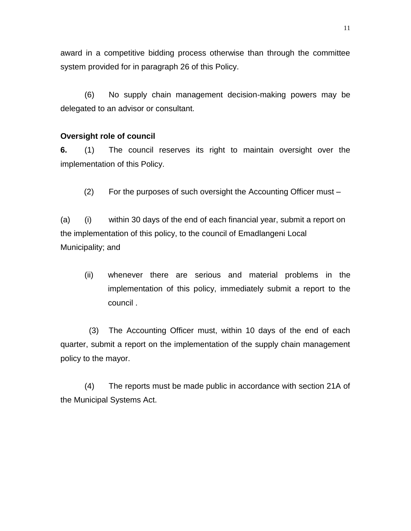award in a competitive bidding process otherwise than through the committee system provided for in paragraph 26 of this Policy.

(6) No supply chain management decision-making powers may be delegated to an advisor or consultant.

#### **Oversight role of council**

**6.** (1) The council reserves its right to maintain oversight over the implementation of this Policy.

(2) For the purposes of such oversight the Accounting Officer must –

(a) (i) within 30 days of the end of each financial year, submit a report on the implementation of this policy, to the council of Emadlangeni Local Municipality; and

(ii) whenever there are serious and material problems in the implementation of this policy, immediately submit a report to the council .

(3) The Accounting Officer must, within 10 days of the end of each quarter, submit a report on the implementation of the supply chain management policy to the mayor.

(4) The reports must be made public in accordance with section 21A of the Municipal Systems Act.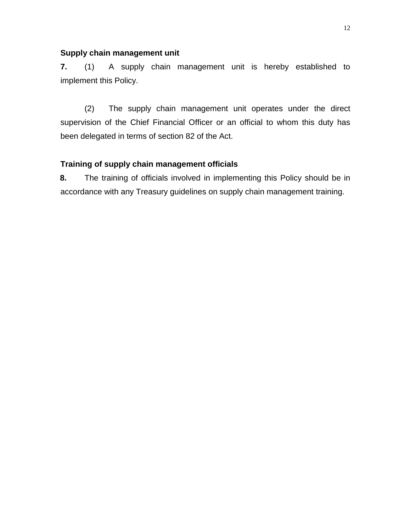#### **Supply chain management unit**

**7.** (1) A supply chain management unit is hereby established to implement this Policy.

(2) The supply chain management unit operates under the direct supervision of the Chief Financial Officer or an official to whom this duty has been delegated in terms of section 82 of the Act.

# **Training of supply chain management officials**

**8.** The training of officials involved in implementing this Policy should be in accordance with any Treasury guidelines on supply chain management training.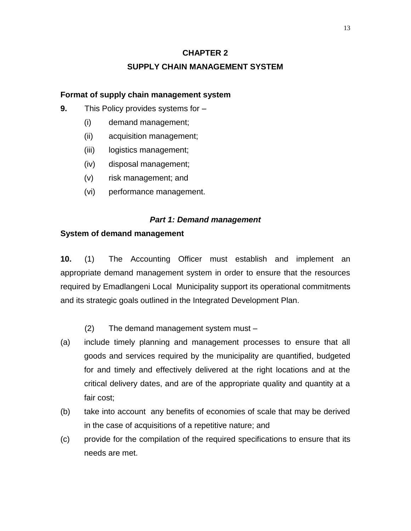# **CHAPTER 2**

# **SUPPLY CHAIN MANAGEMENT SYSTEM**

#### **Format of supply chain management system**

- **9.** This Policy provides systems for
	- (i) demand management;
	- (ii) acquisition management;
	- (iii) logistics management;
	- (iv) disposal management;
	- (v) risk management; and
	- (vi) performance management.

#### *Part 1: Demand management*

#### **System of demand management**

**10.** (1) The Accounting Officer must establish and implement an appropriate demand management system in order to ensure that the resources required by Emadlangeni Local Municipality support its operational commitments and its strategic goals outlined in the Integrated Development Plan.

- (2) The demand management system must –
- (a) include timely planning and management processes to ensure that all goods and services required by the municipality are quantified, budgeted for and timely and effectively delivered at the right locations and at the critical delivery dates, and are of the appropriate quality and quantity at a fair cost;
- (b) take into account any benefits of economies of scale that may be derived in the case of acquisitions of a repetitive nature; and
- (c) provide for the compilation of the required specifications to ensure that its needs are met.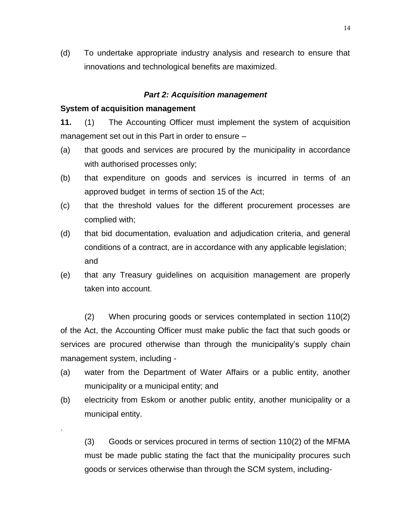(d) To undertake appropriate industry analysis and research to ensure that innovations and technological benefits are maximized.

#### *Part 2: Acquisition management*

#### **System of acquisition management**

.

**11.** (1) The Accounting Officer must implement the system of acquisition management set out in this Part in order to ensure –

- (a) that goods and services are procured by the municipality in accordance with authorised processes only;
- (b) that expenditure on goods and services is incurred in terms of an approved budget in terms of section 15 of the Act;
- (c) that the threshold values for the different procurement processes are complied with;
- (d) that bid documentation, evaluation and adjudication criteria, and general conditions of a contract, are in accordance with any applicable legislation; and
- (e) that any Treasury guidelines on acquisition management are properly taken into account.

(2) When procuring goods or services contemplated in section 110(2) of the Act, the Accounting Officer must make public the fact that such goods or services are procured otherwise than through the municipality's supply chain management system, including -

- (a) water from the Department of Water Affairs or a public entity, another municipality or a municipal entity; and
- (b) electricity from Eskom or another public entity, another municipality or a municipal entity.

(3) Goods or services procured in terms of section 110(2) of the MFMA must be made public stating the fact that the municipality procures such goods or services otherwise than through the SCM system, including-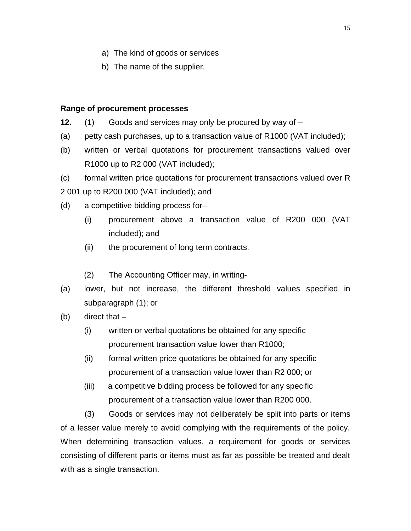- a) The kind of goods or services
- b) The name of the supplier.

### **Range of procurement processes**

- **12.** (1) Goods and services may only be procured by way of –
- (a) petty cash purchases, up to a transaction value of R1000 (VAT included);
- (b) written or verbal quotations for procurement transactions valued over R1000 up to R2 000 (VAT included);

(c) formal written price quotations for procurement transactions valued over R 2 001 up to R200 000 (VAT included); and

- (d) a competitive bidding process for–
	- (i) procurement above a transaction value of R200 000 (VAT included); and
	- (ii) the procurement of long term contracts.
	- (2) The Accounting Officer may, in writing-
- (a) lower, but not increase, the different threshold values specified in subparagraph (1); or
- $(b)$  direct that  $-$ 
	- (i) written or verbal quotations be obtained for any specific procurement transaction value lower than R1000;
	- (ii) formal written price quotations be obtained for any specific procurement of a transaction value lower than R2 000; or
	- (iii) a competitive bidding process be followed for any specific procurement of a transaction value lower than R200 000.

(3) Goods or services may not deliberately be split into parts or items of a lesser value merely to avoid complying with the requirements of the policy. When determining transaction values, a requirement for goods or services consisting of different parts or items must as far as possible be treated and dealt with as a single transaction.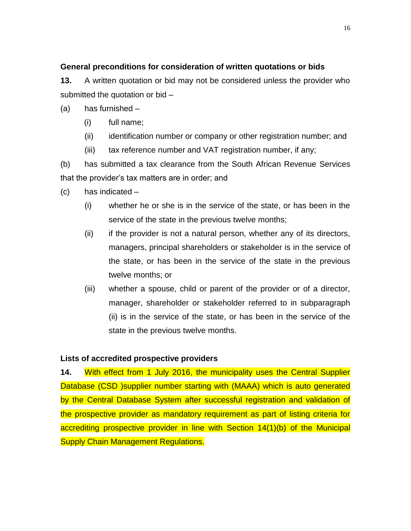# **General preconditions for consideration of written quotations or bids**

**13.** A written quotation or bid may not be considered unless the provider who submitted the quotation or bid –

- (a) has furnished
	- (i) full name;
	- (ii) identification number or company or other registration number; and
	- (iii) tax reference number and VAT registration number, if any;

(b) has submitted a tax clearance from the South African Revenue Services that the provider's tax matters are in order; and

- (c) has indicated
	- (i) whether he or she is in the service of the state, or has been in the service of the state in the previous twelve months;
	- (ii) if the provider is not a natural person, whether any of its directors, managers, principal shareholders or stakeholder is in the service of the state, or has been in the service of the state in the previous twelve months; or
	- (iii) whether a spouse, child or parent of the provider or of a director, manager, shareholder or stakeholder referred to in subparagraph (ii) is in the service of the state, or has been in the service of the state in the previous twelve months.

# **Lists of accredited prospective providers**

**14.** With effect from 1 July 2016, the municipality uses the Central Supplier Database (CSD )supplier number starting with (MAAA) which is auto generated by the Central Database System after successful registration and validation of the prospective provider as mandatory requirement as part of listing criteria for accrediting prospective provider in line with Section 14(1)(b) of the Municipal Supply Chain Management Regulations.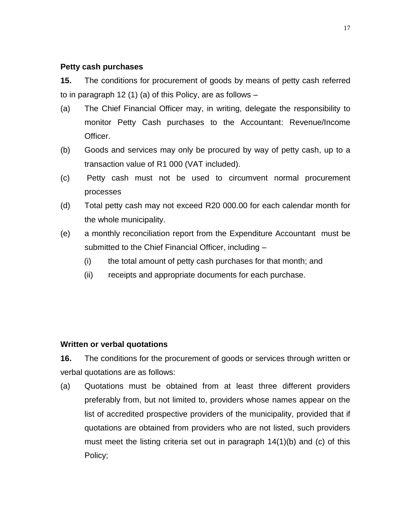# **Petty cash purchases**

**15.** The conditions for procurement of goods by means of petty cash referred to in paragraph 12 (1) (a) of this Policy, are as follows –

- (a) The Chief Financial Officer may, in writing, delegate the responsibility to monitor Petty Cash purchases to the Accountant: Revenue/Income Officer.
- (b) Goods and services may only be procured by way of petty cash, up to a transaction value of R1 000 (VAT included).
- (c) Petty cash must not be used to circumvent normal procurement processes
- (d) Total petty cash may not exceed R20 000.00 for each calendar month for the whole municipality.
- (e) a monthly reconciliation report from the Expenditure Accountant must be submitted to the Chief Financial Officer, including –
	- (i) the total amount of petty cash purchases for that month; and
	- (ii) receipts and appropriate documents for each purchase.

# **Written or verbal quotations**

**16.** The conditions for the procurement of goods or services through written or verbal quotations are as follows:

(a) Quotations must be obtained from at least three different providers preferably from, but not limited to, providers whose names appear on the list of accredited prospective providers of the municipality, provided that if quotations are obtained from providers who are not listed, such providers must meet the listing criteria set out in paragraph 14(1)(b) and (c) of this Policy;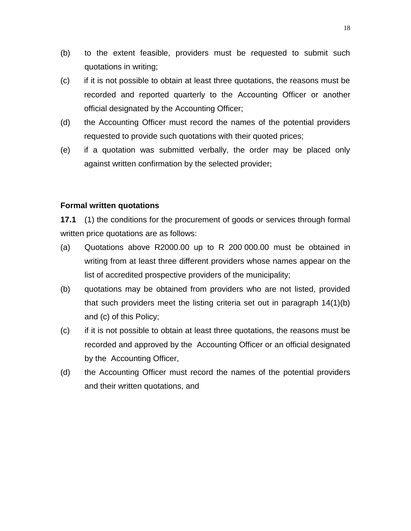- (b) to the extent feasible, providers must be requested to submit such quotations in writing;
- (c) if it is not possible to obtain at least three quotations, the reasons must be recorded and reported quarterly to the Accounting Officer or another official designated by the Accounting Officer;
- (d) the Accounting Officer must record the names of the potential providers requested to provide such quotations with their quoted prices;
- (e) if a quotation was submitted verbally, the order may be placed only against written confirmation by the selected provider;

# **Formal written quotations**

**17.1** (1) the conditions for the procurement of goods or services through formal written price quotations are as follows:

- (a) Quotations above R2000.00 up to R 200 000.00 must be obtained in writing from at least three different providers whose names appear on the list of accredited prospective providers of the municipality;
- (b) quotations may be obtained from providers who are not listed, provided that such providers meet the listing criteria set out in paragraph 14(1)(b) and (c) of this Policy;
- (c) if it is not possible to obtain at least three quotations, the reasons must be recorded and approved by the Accounting Officer or an official designated by the Accounting Officer,
- (d) the Accounting Officer must record the names of the potential providers and their written quotations, and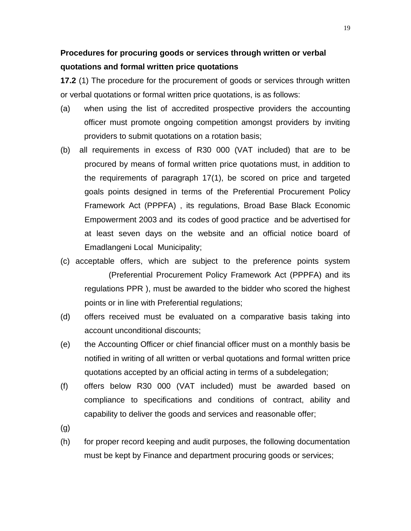# **Procedures for procuring goods or services through written or verbal quotations and formal written price quotations**

**17.2** (1) The procedure for the procurement of goods or services through written or verbal quotations or formal written price quotations, is as follows:

- (a) when using the list of accredited prospective providers the accounting officer must promote ongoing competition amongst providers by inviting providers to submit quotations on a rotation basis;
- (b) all requirements in excess of R30 000 (VAT included) that are to be procured by means of formal written price quotations must, in addition to the requirements of paragraph 17(1), be scored on price and targeted goals points designed in terms of the Preferential Procurement Policy Framework Act (PPPFA) , its regulations, Broad Base Black Economic Empowerment 2003 and its codes of good practice and be advertised for at least seven days on the website and an official notice board of Emadlangeni Local Municipality;
- (c) acceptable offers, which are subject to the preference points system (Preferential Procurement Policy Framework Act (PPPFA) and its regulations PPR ), must be awarded to the bidder who scored the highest points or in line with Preferential regulations;
- (d) offers received must be evaluated on a comparative basis taking into account unconditional discounts;
- (e) the Accounting Officer or chief financial officer must on a monthly basis be notified in writing of all written or verbal quotations and formal written price quotations accepted by an official acting in terms of a subdelegation;
- (f) offers below R30 000 (VAT included) must be awarded based on compliance to specifications and conditions of contract, ability and capability to deliver the goods and services and reasonable offer;
- (g)
- (h) for proper record keeping and audit purposes, the following documentation must be kept by Finance and department procuring goods or services;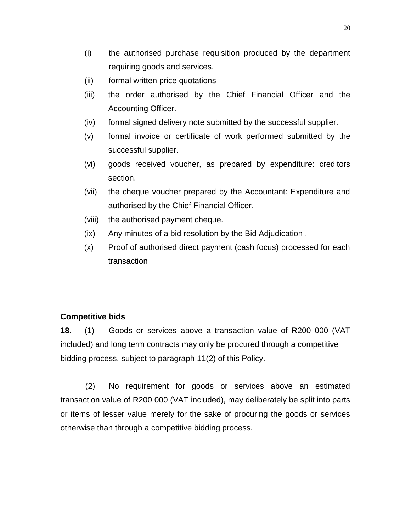- (i) the authorised purchase requisition produced by the department requiring goods and services.
- (ii) formal written price quotations
- (iii) the order authorised by the Chief Financial Officer and the Accounting Officer.
- (iv) formal signed delivery note submitted by the successful supplier.
- (v) formal invoice or certificate of work performed submitted by the successful supplier.
- (vi) goods received voucher, as prepared by expenditure: creditors section.
- (vii) the cheque voucher prepared by the Accountant: Expenditure and authorised by the Chief Financial Officer.
- (viii) the authorised payment cheque.
- (ix) Any minutes of a bid resolution by the Bid Adjudication .
- (x) Proof of authorised direct payment (cash focus) processed for each transaction

#### **Competitive bids**

**18.** (1) Goods or services above a transaction value of R200 000 (VAT included) and long term contracts may only be procured through a competitive bidding process, subject to paragraph 11(2) of this Policy.

(2) No requirement for goods or services above an estimated transaction value of R200 000 (VAT included), may deliberately be split into parts or items of lesser value merely for the sake of procuring the goods or services otherwise than through a competitive bidding process.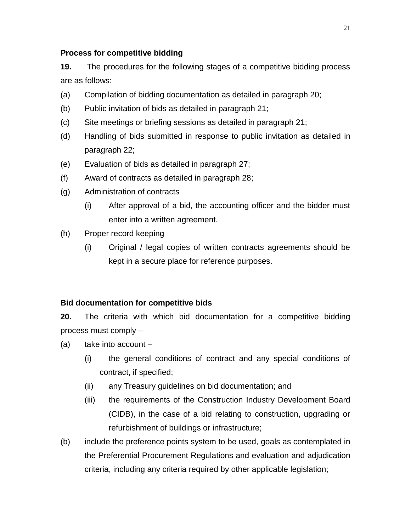# **Process for competitive bidding**

**19.** The procedures for the following stages of a competitive bidding process are as follows:

- (a) Compilation of bidding documentation as detailed in paragraph 20;
- (b) Public invitation of bids as detailed in paragraph 21;
- (c) Site meetings or briefing sessions as detailed in paragraph 21;
- (d) Handling of bids submitted in response to public invitation as detailed in paragraph 22;
- (e) Evaluation of bids as detailed in paragraph 27;
- (f) Award of contracts as detailed in paragraph 28;
- (g) Administration of contracts
	- (i) After approval of a bid, the accounting officer and the bidder must enter into a written agreement.
- (h) Proper record keeping
	- (i) Original / legal copies of written contracts agreements should be kept in a secure place for reference purposes.

# **Bid documentation for competitive bids**

**20.** The criteria with which bid documentation for a competitive bidding process must comply –

- (a) take into account
	- (i) the general conditions of contract and any special conditions of contract, if specified;
	- (ii) any Treasury guidelines on bid documentation; and
	- (iii) the requirements of the Construction Industry Development Board (CIDB), in the case of a bid relating to construction, upgrading or refurbishment of buildings or infrastructure;
- (b) include the preference points system to be used, goals as contemplated in the Preferential Procurement Regulations and evaluation and adjudication criteria, including any criteria required by other applicable legislation;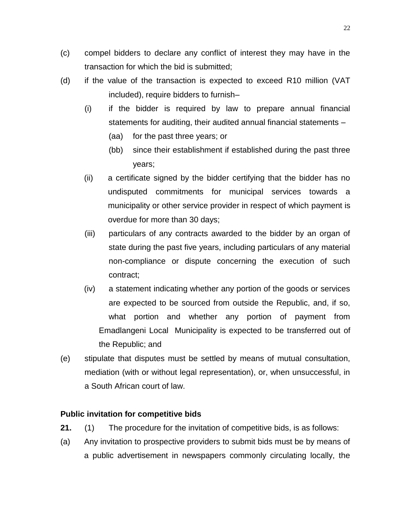- (c) compel bidders to declare any conflict of interest they may have in the transaction for which the bid is submitted;
- (d) if the value of the transaction is expected to exceed R10 million (VAT included), require bidders to furnish–
	- (i) if the bidder is required by law to prepare annual financial statements for auditing, their audited annual financial statements –
		- (aa) for the past three years; or
		- (bb) since their establishment if established during the past three years;
	- (ii) a certificate signed by the bidder certifying that the bidder has no undisputed commitments for municipal services towards a municipality or other service provider in respect of which payment is overdue for more than 30 days;
	- (iii) particulars of any contracts awarded to the bidder by an organ of state during the past five years, including particulars of any material non-compliance or dispute concerning the execution of such contract;
	- (iv) a statement indicating whether any portion of the goods or services are expected to be sourced from outside the Republic, and, if so, what portion and whether any portion of payment from Emadlangeni Local Municipality is expected to be transferred out of the Republic; and
- (e) stipulate that disputes must be settled by means of mutual consultation, mediation (with or without legal representation), or, when unsuccessful, in a South African court of law.

# **Public invitation for competitive bids**

- **21.** (1) The procedure for the invitation of competitive bids, is as follows:
- (a) Any invitation to prospective providers to submit bids must be by means of a public advertisement in newspapers commonly circulating locally, the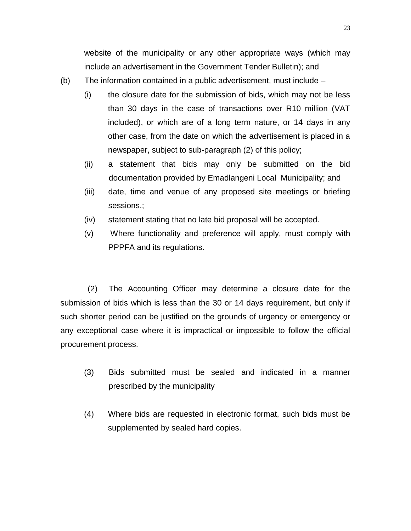website of the municipality or any other appropriate ways (which may include an advertisement in the Government Tender Bulletin); and

- (b) The information contained in a public advertisement, must include
	- (i) the closure date for the submission of bids, which may not be less than 30 days in the case of transactions over R10 million (VAT included), or which are of a long term nature, or 14 days in any other case, from the date on which the advertisement is placed in a newspaper, subject to sub-paragraph (2) of this policy;
	- (ii) a statement that bids may only be submitted on the bid documentation provided by Emadlangeni Local Municipality; and
	- (iii) date, time and venue of any proposed site meetings or briefing sessions.;
	- (iv) statement stating that no late bid proposal will be accepted.
	- (v) Where functionality and preference will apply, must comply with PPPFA and its regulations.

(2) The Accounting Officer may determine a closure date for the submission of bids which is less than the 30 or 14 days requirement, but only if such shorter period can be justified on the grounds of urgency or emergency or any exceptional case where it is impractical or impossible to follow the official procurement process.

- (3) Bids submitted must be sealed and indicated in a manner prescribed by the municipality
- (4) Where bids are requested in electronic format, such bids must be supplemented by sealed hard copies.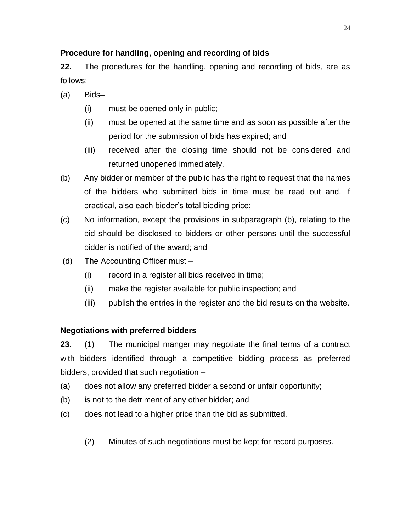# **Procedure for handling, opening and recording of bids**

**22.** The procedures for the handling, opening and recording of bids, are as follows:

- (a) Bids–
	- (i) must be opened only in public;
	- (ii) must be opened at the same time and as soon as possible after the period for the submission of bids has expired; and
	- (iii) received after the closing time should not be considered and returned unopened immediately.
- (b) Any bidder or member of the public has the right to request that the names of the bidders who submitted bids in time must be read out and, if practical, also each bidder's total bidding price;
- (c) No information, except the provisions in subparagraph (b), relating to the bid should be disclosed to bidders or other persons until the successful bidder is notified of the award; and
- (d) The Accounting Officer must
	- (i) record in a register all bids received in time;
	- (ii) make the register available for public inspection; and
	- (iii) publish the entries in the register and the bid results on the website.

# **Negotiations with preferred bidders**

**23.** (1) The municipal manger may negotiate the final terms of a contract with bidders identified through a competitive bidding process as preferred bidders, provided that such negotiation –

- (a) does not allow any preferred bidder a second or unfair opportunity;
- (b) is not to the detriment of any other bidder; and
- (c) does not lead to a higher price than the bid as submitted.
	- (2) Minutes of such negotiations must be kept for record purposes.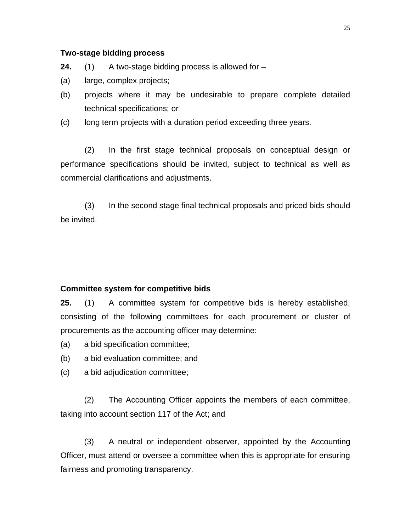#### **Two-stage bidding process**

- **24.** (1) A two-stage bidding process is allowed for –
- (a) large, complex projects;
- (b) projects where it may be undesirable to prepare complete detailed technical specifications; or
- (c) long term projects with a duration period exceeding three years.

(2) In the first stage technical proposals on conceptual design or performance specifications should be invited, subject to technical as well as commercial clarifications and adjustments.

(3) In the second stage final technical proposals and priced bids should be invited.

#### **Committee system for competitive bids**

**25.** (1) A committee system for competitive bids is hereby established, consisting of the following committees for each procurement or cluster of procurements as the accounting officer may determine:

- (a) a bid specification committee;
- (b) a bid evaluation committee; and
- (c) a bid adjudication committee;

(2) The Accounting Officer appoints the members of each committee, taking into account section 117 of the Act; and

(3) A neutral or independent observer, appointed by the Accounting Officer, must attend or oversee a committee when this is appropriate for ensuring fairness and promoting transparency.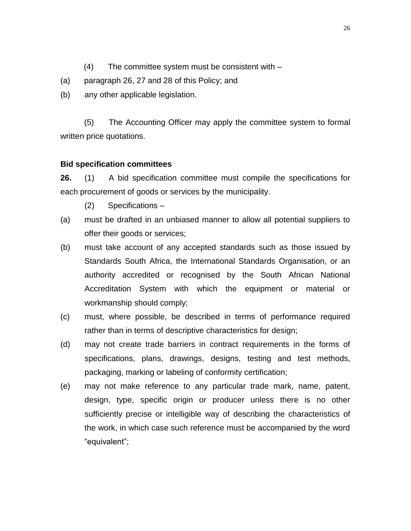- (4) The committee system must be consistent with –
- (a) paragraph 26, 27 and 28 of this Policy; and
- (b) any other applicable legislation.

(5) The Accounting Officer may apply the committee system to formal written price quotations.

# **Bid specification committees**

**26.** (1) A bid specification committee must compile the specifications for each procurement of goods or services by the municipality.

- (2) Specifications –
- (a) must be drafted in an unbiased manner to allow all potential suppliers to offer their goods or services;
- (b) must take account of any accepted standards such as those issued by Standards South Africa, the International Standards Organisation, or an authority accredited or recognised by the South African National Accreditation System with which the equipment or material or workmanship should comply;
- (c) must, where possible, be described in terms of performance required rather than in terms of descriptive characteristics for design;
- (d) may not create trade barriers in contract requirements in the forms of specifications, plans, drawings, designs, testing and test methods, packaging, marking or labeling of conformity certification;
- (e) may not make reference to any particular trade mark, name, patent, design, type, specific origin or producer unless there is no other sufficiently precise or intelligible way of describing the characteristics of the work, in which case such reference must be accompanied by the word "equivalent";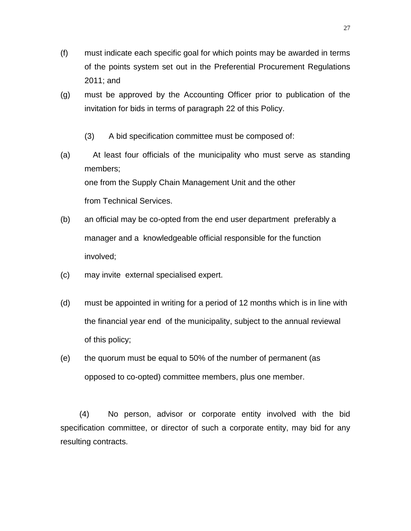- (f) must indicate each specific goal for which points may be awarded in terms of the points system set out in the Preferential Procurement Regulations 2011; and
- (g) must be approved by the Accounting Officer prior to publication of the invitation for bids in terms of paragraph 22 of this Policy.
	- (3) A bid specification committee must be composed of:
- (a) At least four officials of the municipality who must serve as standing members; one from the Supply Chain Management Unit and the other from Technical Services.
- (b) an official may be co-opted from the end user department preferably a manager and a knowledgeable official responsible for the function involved;
- (c) may invite external specialised expert.
- (d) must be appointed in writing for a period of 12 months which is in line with the financial year end of the municipality, subject to the annual reviewal of this policy;
- (e) the quorum must be equal to 50% of the number of permanent (as opposed to co-opted) committee members, plus one member.

(4) No person, advisor or corporate entity involved with the bid specification committee, or director of such a corporate entity, may bid for any resulting contracts.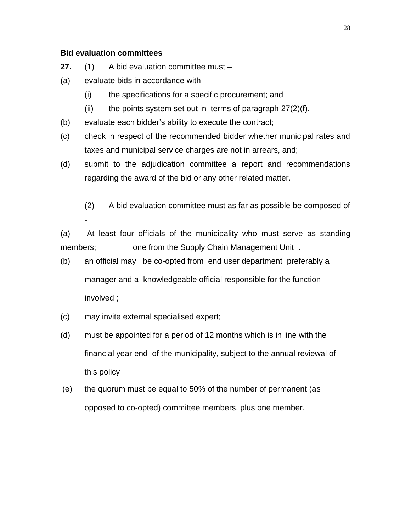#### **Bid evaluation committees**

- **27.** (1) A bid evaluation committee must –
- (a) evaluate bids in accordance with
	- (i) the specifications for a specific procurement; and
	- (ii) the points system set out in terms of paragraph  $27(2)(f)$ .
- (b) evaluate each bidder's ability to execute the contract;
- (c) check in respect of the recommended bidder whether municipal rates and taxes and municipal service charges are not in arrears, and;
- (d) submit to the adjudication committee a report and recommendations regarding the award of the bid or any other related matter.
	- (2) A bid evaluation committee must as far as possible be composed of -

(a) At least four officials of the municipality who must serve as standing members; one from the Supply Chain Management Unit .

- (b) an official may be co-opted from end user department preferably a manager and a knowledgeable official responsible for the function involved ;
- (c) may invite external specialised expert;
- (d) must be appointed for a period of 12 months which is in line with the financial year end of the municipality, subject to the annual reviewal of this policy
- (e) the quorum must be equal to 50% of the number of permanent (as opposed to co-opted) committee members, plus one member.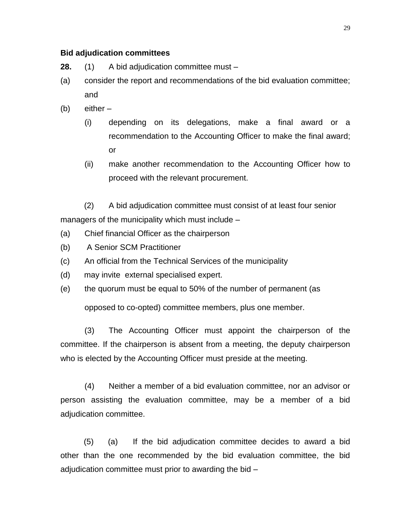#### **Bid adjudication committees**

- **28.** (1) A bid adjudication committee must –
- (a) consider the report and recommendations of the bid evaluation committee; and
- (b) either
	- (i) depending on its delegations, make a final award or a recommendation to the Accounting Officer to make the final award; or
	- (ii) make another recommendation to the Accounting Officer how to proceed with the relevant procurement.

(2) A bid adjudication committee must consist of at least four senior managers of the municipality which must include –

- (a) Chief financial Officer as the chairperson
- (b) A Senior SCM Practitioner
- (c) An official from the Technical Services of the municipality
- (d) may invite external specialised expert.
- (e) the quorum must be equal to 50% of the number of permanent (as

opposed to co-opted) committee members, plus one member.

(3) The Accounting Officer must appoint the chairperson of the committee. If the chairperson is absent from a meeting, the deputy chairperson who is elected by the Accounting Officer must preside at the meeting.

(4) Neither a member of a bid evaluation committee, nor an advisor or person assisting the evaluation committee, may be a member of a bid adjudication committee.

(5) (a) If the bid adjudication committee decides to award a bid other than the one recommended by the bid evaluation committee, the bid adjudication committee must prior to awarding the bid –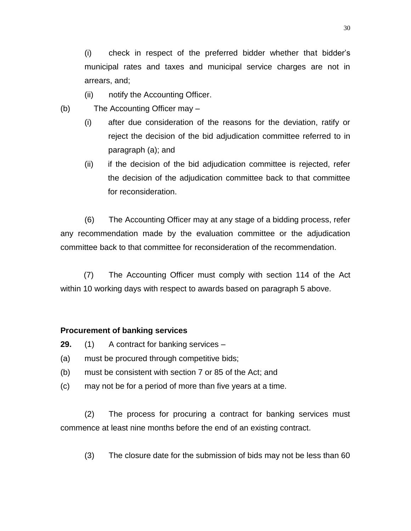(i) check in respect of the preferred bidder whether that bidder's municipal rates and taxes and municipal service charges are not in arrears, and;

- (ii) notify the Accounting Officer.
- (b) The Accounting Officer may
	- (i) after due consideration of the reasons for the deviation, ratify or reject the decision of the bid adjudication committee referred to in paragraph (a); and
	- (ii) if the decision of the bid adjudication committee is rejected, refer the decision of the adjudication committee back to that committee for reconsideration.

(6) The Accounting Officer may at any stage of a bidding process, refer any recommendation made by the evaluation committee or the adjudication committee back to that committee for reconsideration of the recommendation.

(7) The Accounting Officer must comply with section 114 of the Act within 10 working days with respect to awards based on paragraph 5 above.

# **Procurement of banking services**

- **29.** (1) A contract for banking services –
- (a) must be procured through competitive bids;
- (b) must be consistent with section 7 or 85 of the Act; and
- (c) may not be for a period of more than five years at a time.

(2) The process for procuring a contract for banking services must commence at least nine months before the end of an existing contract.

(3) The closure date for the submission of bids may not be less than 60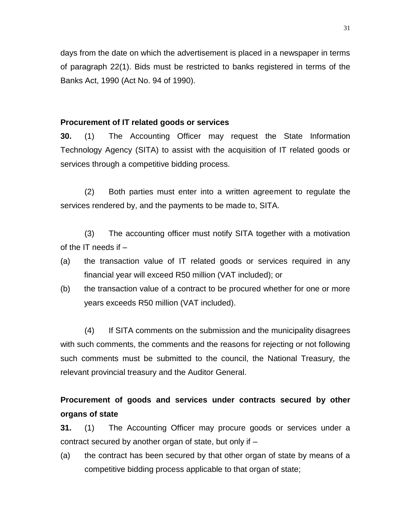days from the date on which the advertisement is placed in a newspaper in terms of paragraph 22(1). Bids must be restricted to banks registered in terms of the Banks Act, 1990 (Act No. 94 of 1990).

#### **Procurement of IT related goods or services**

**30.** (1) The Accounting Officer may request the State Information Technology Agency (SITA) to assist with the acquisition of IT related goods or services through a competitive bidding process.

(2) Both parties must enter into a written agreement to regulate the services rendered by, and the payments to be made to, SITA.

(3) The accounting officer must notify SITA together with a motivation of the IT needs if  $-$ 

- (a) the transaction value of IT related goods or services required in any financial year will exceed R50 million (VAT included); or
- (b) the transaction value of a contract to be procured whether for one or more years exceeds R50 million (VAT included).

(4) If SITA comments on the submission and the municipality disagrees with such comments, the comments and the reasons for rejecting or not following such comments must be submitted to the council, the National Treasury, the relevant provincial treasury and the Auditor General.

# **Procurement of goods and services under contracts secured by other organs of state**

**31.** (1) The Accounting Officer may procure goods or services under a contract secured by another organ of state, but only if –

(a) the contract has been secured by that other organ of state by means of a competitive bidding process applicable to that organ of state;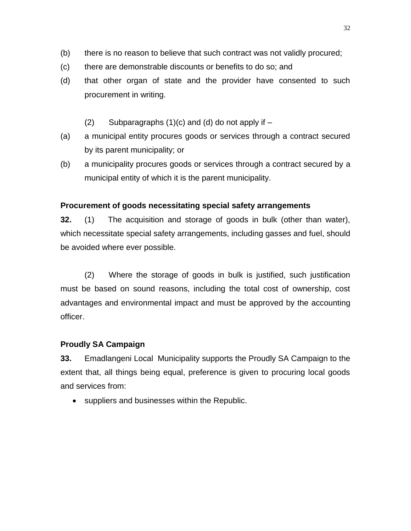- (b) there is no reason to believe that such contract was not validly procured;
- (c) there are demonstrable discounts or benefits to do so; and
- (d) that other organ of state and the provider have consented to such procurement in writing.
	- (2) Subparagraphs  $(1)(c)$  and  $(d)$  do not apply if  $-$
- (a) a municipal entity procures goods or services through a contract secured by its parent municipality; or
- (b) a municipality procures goods or services through a contract secured by a municipal entity of which it is the parent municipality.

# **Procurement of goods necessitating special safety arrangements**

**32.** (1) The acquisition and storage of goods in bulk (other than water), which necessitate special safety arrangements, including gasses and fuel, should be avoided where ever possible.

(2) Where the storage of goods in bulk is justified, such justification must be based on sound reasons, including the total cost of ownership, cost advantages and environmental impact and must be approved by the accounting officer.

# **Proudly SA Campaign**

**33.** Emadlangeni Local Municipality supports the Proudly SA Campaign to the extent that, all things being equal, preference is given to procuring local goods and services from:

suppliers and businesses within the Republic.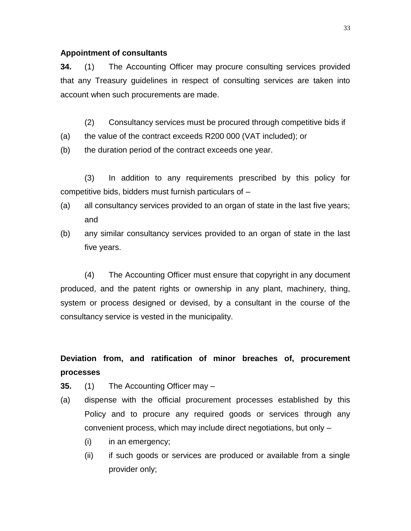#### **Appointment of consultants**

**34.** (1) The Accounting Officer may procure consulting services provided that any Treasury guidelines in respect of consulting services are taken into account when such procurements are made.

- (2) Consultancy services must be procured through competitive bids if
- (a) the value of the contract exceeds R200 000 (VAT included); or
- (b) the duration period of the contract exceeds one year.

(3) In addition to any requirements prescribed by this policy for competitive bids, bidders must furnish particulars of –

- (a) all consultancy services provided to an organ of state in the last five years; and
- (b) any similar consultancy services provided to an organ of state in the last five years.

(4) The Accounting Officer must ensure that copyright in any document produced, and the patent rights or ownership in any plant, machinery, thing, system or process designed or devised, by a consultant in the course of the consultancy service is vested in the municipality.

# **Deviation from, and ratification of minor breaches of, procurement processes**

- **35.** (1) The Accounting Officer may –
- (a) dispense with the official procurement processes established by this Policy and to procure any required goods or services through any convenient process, which may include direct negotiations, but only –
	- (i) in an emergency;
	- (ii) if such goods or services are produced or available from a single provider only;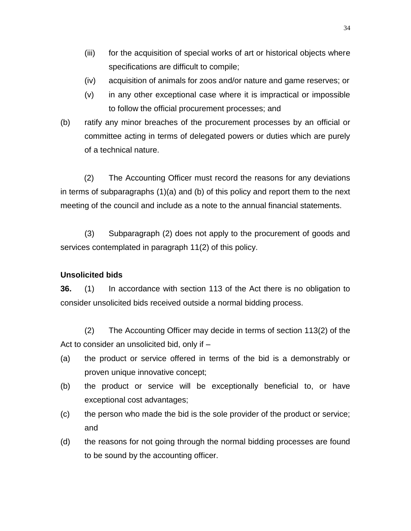- (iii) for the acquisition of special works of art or historical objects where specifications are difficult to compile;
- (iv) acquisition of animals for zoos and/or nature and game reserves; or
- (v) in any other exceptional case where it is impractical or impossible to follow the official procurement processes; and
- (b) ratify any minor breaches of the procurement processes by an official or committee acting in terms of delegated powers or duties which are purely of a technical nature.

(2) The Accounting Officer must record the reasons for any deviations in terms of subparagraphs (1)(a) and (b) of this policy and report them to the next meeting of the council and include as a note to the annual financial statements.

(3) Subparagraph (2) does not apply to the procurement of goods and services contemplated in paragraph 11(2) of this policy.

# **Unsolicited bids**

**36.** (1) In accordance with section 113 of the Act there is no obligation to consider unsolicited bids received outside a normal bidding process.

(2) The Accounting Officer may decide in terms of section 113(2) of the Act to consider an unsolicited bid, only if –

- (a) the product or service offered in terms of the bid is a demonstrably or proven unique innovative concept;
- (b) the product or service will be exceptionally beneficial to, or have exceptional cost advantages;
- (c) the person who made the bid is the sole provider of the product or service; and
- (d) the reasons for not going through the normal bidding processes are found to be sound by the accounting officer.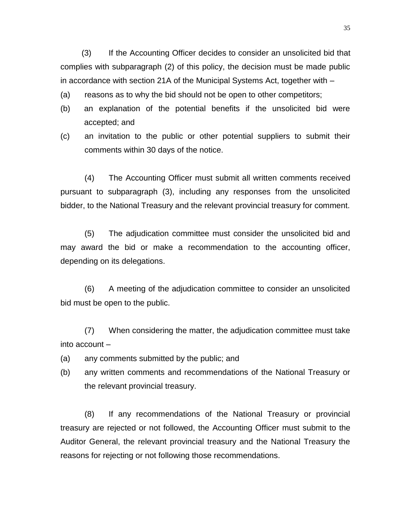(3) If the Accounting Officer decides to consider an unsolicited bid that complies with subparagraph (2) of this policy, the decision must be made public in accordance with section 21A of the Municipal Systems Act, together with –

(a) reasons as to why the bid should not be open to other competitors;

- (b) an explanation of the potential benefits if the unsolicited bid were accepted; and
- (c) an invitation to the public or other potential suppliers to submit their comments within 30 days of the notice.

(4) The Accounting Officer must submit all written comments received pursuant to subparagraph (3), including any responses from the unsolicited bidder, to the National Treasury and the relevant provincial treasury for comment.

(5) The adjudication committee must consider the unsolicited bid and may award the bid or make a recommendation to the accounting officer, depending on its delegations.

(6) A meeting of the adjudication committee to consider an unsolicited bid must be open to the public.

(7) When considering the matter, the adjudication committee must take into account –

- (a) any comments submitted by the public; and
- (b) any written comments and recommendations of the National Treasury or the relevant provincial treasury.

(8) If any recommendations of the National Treasury or provincial treasury are rejected or not followed, the Accounting Officer must submit to the Auditor General, the relevant provincial treasury and the National Treasury the reasons for rejecting or not following those recommendations.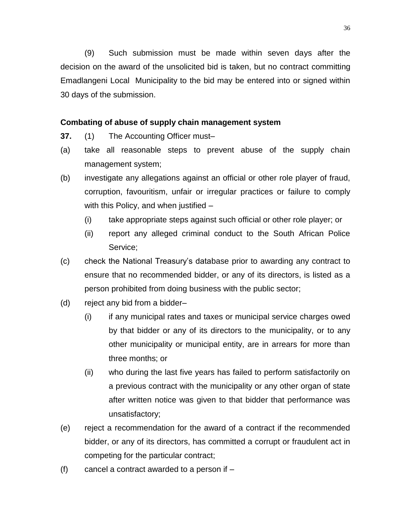(9) Such submission must be made within seven days after the decision on the award of the unsolicited bid is taken, but no contract committing Emadlangeni Local Municipality to the bid may be entered into or signed within 30 days of the submission.

### **Combating of abuse of supply chain management system**

- **37.** (1) The Accounting Officer must–
- (a) take all reasonable steps to prevent abuse of the supply chain management system;
- (b) investigate any allegations against an official or other role player of fraud, corruption, favouritism, unfair or irregular practices or failure to comply with this Policy, and when justified –
	- (i) take appropriate steps against such official or other role player; or
	- (ii) report any alleged criminal conduct to the South African Police Service;
- (c) check the National Treasury's database prior to awarding any contract to ensure that no recommended bidder, or any of its directors, is listed as a person prohibited from doing business with the public sector;
- (d) reject any bid from a bidder–
	- (i) if any municipal rates and taxes or municipal service charges owed by that bidder or any of its directors to the municipality, or to any other municipality or municipal entity, are in arrears for more than three months; or
	- (ii) who during the last five years has failed to perform satisfactorily on a previous contract with the municipality or any other organ of state after written notice was given to that bidder that performance was unsatisfactory;
- (e) reject a recommendation for the award of a contract if the recommended bidder, or any of its directors, has committed a corrupt or fraudulent act in competing for the particular contract;
- $(f)$  cancel a contract awarded to a person if  $-$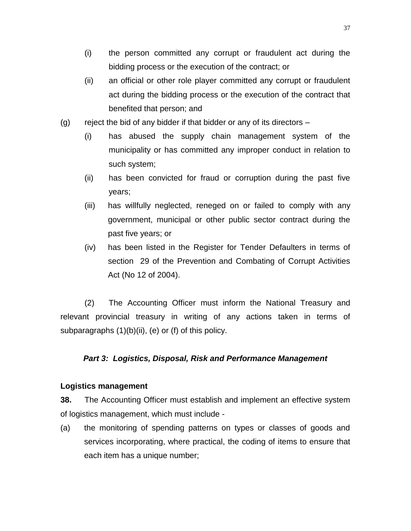- (i) the person committed any corrupt or fraudulent act during the bidding process or the execution of the contract; or
- (ii) an official or other role player committed any corrupt or fraudulent act during the bidding process or the execution of the contract that benefited that person; and
- (g) reject the bid of any bidder if that bidder or any of its directors  $-$ 
	- (i) has abused the supply chain management system of the municipality or has committed any improper conduct in relation to such system;
	- (ii) has been convicted for fraud or corruption during the past five years;
	- (iii) has willfully neglected, reneged on or failed to comply with any government, municipal or other public sector contract during the past five years; or
	- (iv) has been listed in the Register for Tender Defaulters in terms of section 29 of the Prevention and Combating of Corrupt Activities Act (No 12 of 2004).

(2) The Accounting Officer must inform the National Treasury and relevant provincial treasury in writing of any actions taken in terms of subparagraphs  $(1)(b)(ii)$ ,  $(e)$  or  $(f)$  of this policy.

# *Part 3: Logistics, Disposal, Risk and Performance Management*

# **Logistics management**

**38.** The Accounting Officer must establish and implement an effective system of logistics management, which must include -

(a) the monitoring of spending patterns on types or classes of goods and services incorporating, where practical, the coding of items to ensure that each item has a unique number;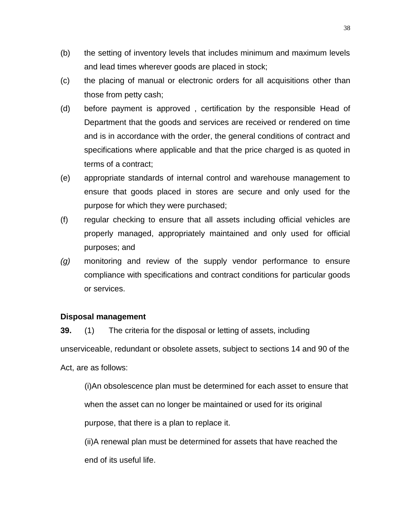- (b) the setting of inventory levels that includes minimum and maximum levels and lead times wherever goods are placed in stock;
- (c) the placing of manual or electronic orders for all acquisitions other than those from petty cash;
- (d) before payment is approved , certification by the responsible Head of Department that the goods and services are received or rendered on time and is in accordance with the order, the general conditions of contract and specifications where applicable and that the price charged is as quoted in terms of a contract;
- (e) appropriate standards of internal control and warehouse management to ensure that goods placed in stores are secure and only used for the purpose for which they were purchased;
- (f) regular checking to ensure that all assets including official vehicles are properly managed, appropriately maintained and only used for official purposes; and
- *(g)* monitoring and review of the supply vendor performance to ensure compliance with specifications and contract conditions for particular goods or services.

#### **Disposal management**

**39.** (1) The criteria for the disposal or letting of assets, including unserviceable, redundant or obsolete assets, subject to sections 14 and 90 of the Act, are as follows:

(i)An obsolescence plan must be determined for each asset to ensure that when the asset can no longer be maintained or used for its original purpose, that there is a plan to replace it.

(ii)A renewal plan must be determined for assets that have reached the end of its useful life.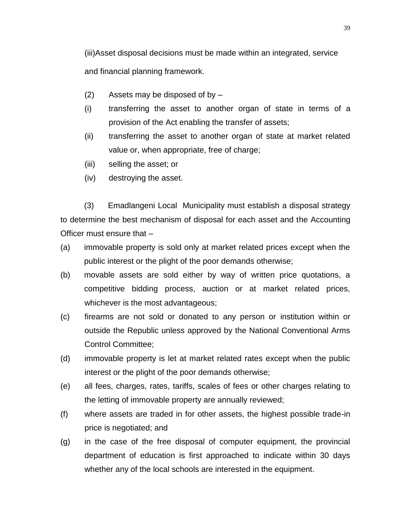(iii)Asset disposal decisions must be made within an integrated, service and financial planning framework.

- (2) Assets may be disposed of by –
- (i) transferring the asset to another organ of state in terms of a provision of the Act enabling the transfer of assets;
- (ii) transferring the asset to another organ of state at market related value or, when appropriate, free of charge;
- (iii) selling the asset; or
- (iv) destroying the asset.

(3) Emadlangeni Local Municipality must establish a disposal strategy to determine the best mechanism of disposal for each asset and the Accounting Officer must ensure that –

- (a) immovable property is sold only at market related prices except when the public interest or the plight of the poor demands otherwise;
- (b) movable assets are sold either by way of written price quotations, a competitive bidding process, auction or at market related prices, whichever is the most advantageous;
- (c) firearms are not sold or donated to any person or institution within or outside the Republic unless approved by the National Conventional Arms Control Committee;
- (d) immovable property is let at market related rates except when the public interest or the plight of the poor demands otherwise;
- (e) all fees, charges, rates, tariffs, scales of fees or other charges relating to the letting of immovable property are annually reviewed;
- (f) where assets are traded in for other assets, the highest possible trade-in price is negotiated; and
- (g) in the case of the free disposal of computer equipment, the provincial department of education is first approached to indicate within 30 days whether any of the local schools are interested in the equipment.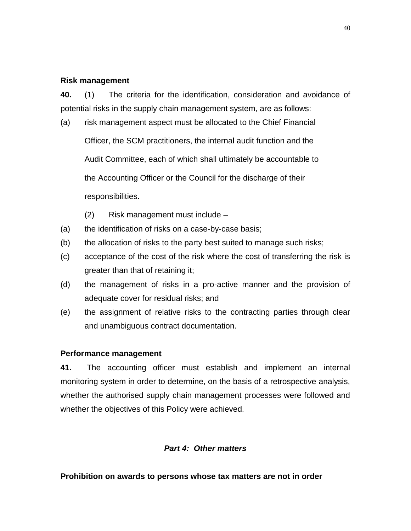#### **Risk management**

**40.** (1) The criteria for the identification, consideration and avoidance of potential risks in the supply chain management system, are as follows:

(a) risk management aspect must be allocated to the Chief Financial Officer, the SCM practitioners, the internal audit function and the Audit Committee, each of which shall ultimately be accountable to the Accounting Officer or the Council for the discharge of their responsibilities.

- (2) Risk management must include –
- (a) the identification of risks on a case-by-case basis;
- (b) the allocation of risks to the party best suited to manage such risks;
- (c) acceptance of the cost of the risk where the cost of transferring the risk is greater than that of retaining it;
- (d) the management of risks in a pro-active manner and the provision of adequate cover for residual risks; and
- (e) the assignment of relative risks to the contracting parties through clear and unambiguous contract documentation.

#### **Performance management**

**41.** The accounting officer must establish and implement an internal monitoring system in order to determine, on the basis of a retrospective analysis, whether the authorised supply chain management processes were followed and whether the objectives of this Policy were achieved.

#### *Part 4: Other matters*

#### **Prohibition on awards to persons whose tax matters are not in order**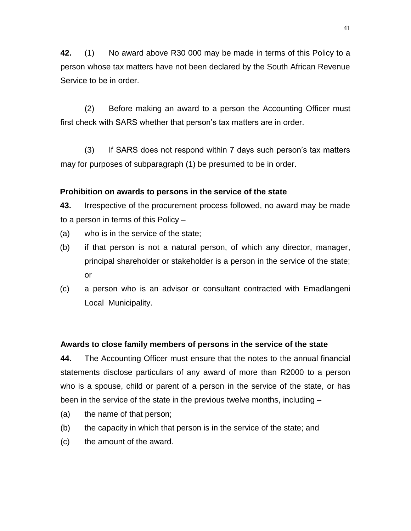**42.** (1) No award above R30 000 may be made in terms of this Policy to a person whose tax matters have not been declared by the South African Revenue Service to be in order.

(2) Before making an award to a person the Accounting Officer must first check with SARS whether that person's tax matters are in order.

(3) If SARS does not respond within 7 days such person's tax matters may for purposes of subparagraph (1) be presumed to be in order.

# **Prohibition on awards to persons in the service of the state**

**43.** Irrespective of the procurement process followed, no award may be made to a person in terms of this Policy –

- (a) who is in the service of the state;
- (b) if that person is not a natural person, of which any director, manager, principal shareholder or stakeholder is a person in the service of the state; or
- (c) a person who is an advisor or consultant contracted with Emadlangeni Local Municipality.

# **Awards to close family members of persons in the service of the state**

**44.** The Accounting Officer must ensure that the notes to the annual financial statements disclose particulars of any award of more than R2000 to a person who is a spouse, child or parent of a person in the service of the state, or has been in the service of the state in the previous twelve months, including –

- (a) the name of that person;
- (b) the capacity in which that person is in the service of the state; and
- (c) the amount of the award.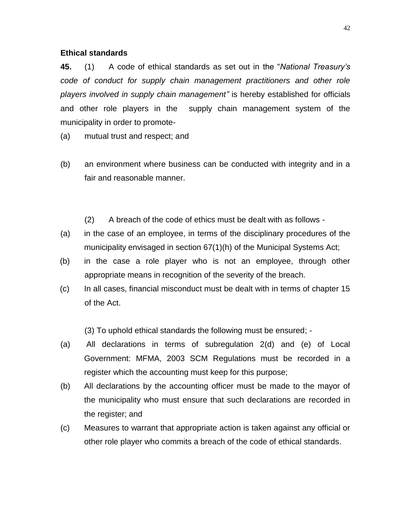#### **Ethical standards**

**45.** (1) A code of ethical standards as set out in the "*National Treasury's code of conduct for supply chain management practitioners and other role players involved in supply chain management"* is hereby established for officials and other role players in the supply chain management system of the municipality in order to promote-

(a) mutual trust and respect; and

- (b) an environment where business can be conducted with integrity and in a fair and reasonable manner.
	- (2) A breach of the code of ethics must be dealt with as follows -
- (a) in the case of an employee, in terms of the disciplinary procedures of the municipality envisaged in section 67(1)(h) of the Municipal Systems Act;
- (b) in the case a role player who is not an employee, through other appropriate means in recognition of the severity of the breach.
- (c) In all cases, financial misconduct must be dealt with in terms of chapter 15 of the Act.

(3) To uphold ethical standards the following must be ensured; -

- (a) All declarations in terms of subregulation 2(d) and (e) of Local Government: MFMA, 2003 SCM Regulations must be recorded in a register which the accounting must keep for this purpose;
- (b) All declarations by the accounting officer must be made to the mayor of the municipality who must ensure that such declarations are recorded in the register; and
- (c) Measures to warrant that appropriate action is taken against any official or other role player who commits a breach of the code of ethical standards.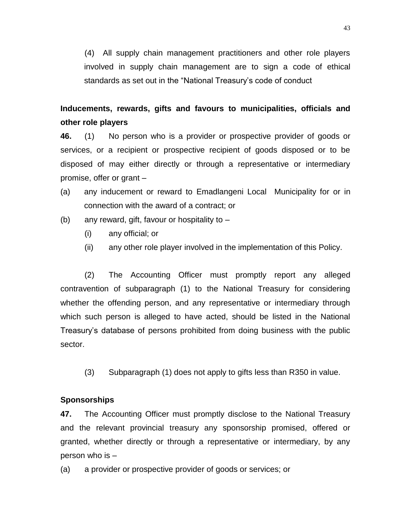(4) All supply chain management practitioners and other role players involved in supply chain management are to sign a code of ethical standards as set out in the "National Treasury's code of conduct

**Inducements, rewards, gifts and favours to municipalities, officials and other role players**

**46.** (1) No person who is a provider or prospective provider of goods or services, or a recipient or prospective recipient of goods disposed or to be disposed of may either directly or through a representative or intermediary promise, offer or grant –

- (a) any inducement or reward to Emadlangeni Local Municipality for or in connection with the award of a contract; or
- (b) any reward, gift, favour or hospitality to  $-$ 
	- (i) any official; or
	- (ii) any other role player involved in the implementation of this Policy.

(2) The Accounting Officer must promptly report any alleged contravention of subparagraph (1) to the National Treasury for considering whether the offending person, and any representative or intermediary through which such person is alleged to have acted, should be listed in the National Treasury's database of persons prohibited from doing business with the public sector.

(3) Subparagraph (1) does not apply to gifts less than R350 in value.

#### **Sponsorships**

**47.** The Accounting Officer must promptly disclose to the National Treasury and the relevant provincial treasury any sponsorship promised, offered or granted, whether directly or through a representative or intermediary, by any person who is –

(a) a provider or prospective provider of goods or services; or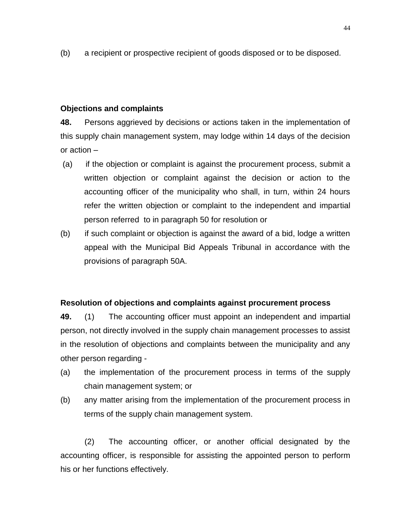(b) a recipient or prospective recipient of goods disposed or to be disposed.

#### **Objections and complaints**

**48.** Persons aggrieved by decisions or actions taken in the implementation of this supply chain management system, may lodge within 14 days of the decision or action –

- (a) if the objection or complaint is against the procurement process, submit a written objection or complaint against the decision or action to the accounting officer of the municipality who shall, in turn, within 24 hours refer the written objection or complaint to the independent and impartial person referred to in paragraph 50 for resolution or
- (b) if such complaint or objection is against the award of a bid, lodge a written appeal with the Municipal Bid Appeals Tribunal in accordance with the provisions of paragraph 50A.

#### **Resolution of objections and complaints against procurement process**

**49.** (1) The accounting officer must appoint an independent and impartial person, not directly involved in the supply chain management processes to assist in the resolution of objections and complaints between the municipality and any other person regarding -

- (a) the implementation of the procurement process in terms of the supply chain management system; or
- (b) any matter arising from the implementation of the procurement process in terms of the supply chain management system.

(2) The accounting officer, or another official designated by the accounting officer, is responsible for assisting the appointed person to perform his or her functions effectively.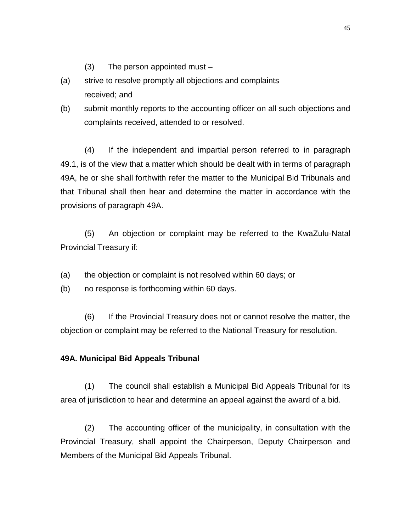- (3) The person appointed must –
- (a) strive to resolve promptly all objections and complaints received; and
- (b) submit monthly reports to the accounting officer on all such objections and complaints received, attended to or resolved.

(4) If the independent and impartial person referred to in paragraph 49.1, is of the view that a matter which should be dealt with in terms of paragraph 49A, he or she shall forthwith refer the matter to the Municipal Bid Tribunals and that Tribunal shall then hear and determine the matter in accordance with the provisions of paragraph 49A.

(5) An objection or complaint may be referred to the KwaZulu-Natal Provincial Treasury if:

- (a) the objection or complaint is not resolved within 60 days; or
- (b) no response is forthcoming within 60 days.

(6) If the Provincial Treasury does not or cannot resolve the matter, the objection or complaint may be referred to the National Treasury for resolution.

#### **49A. Municipal Bid Appeals Tribunal**

(1) The council shall establish a Municipal Bid Appeals Tribunal for its area of jurisdiction to hear and determine an appeal against the award of a bid.

(2) The accounting officer of the municipality, in consultation with the Provincial Treasury, shall appoint the Chairperson, Deputy Chairperson and Members of the Municipal Bid Appeals Tribunal.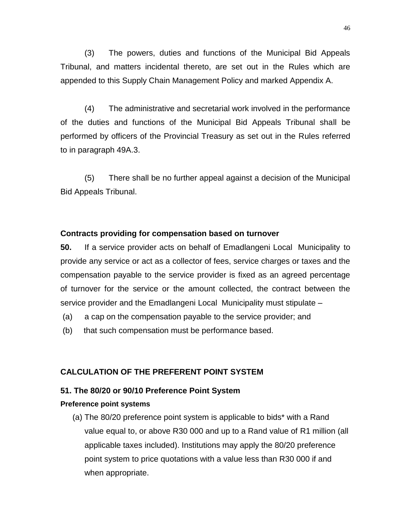(3) The powers, duties and functions of the Municipal Bid Appeals Tribunal, and matters incidental thereto, are set out in the Rules which are appended to this Supply Chain Management Policy and marked Appendix A.

(4) The administrative and secretarial work involved in the performance of the duties and functions of the Municipal Bid Appeals Tribunal shall be performed by officers of the Provincial Treasury as set out in the Rules referred to in paragraph 49A.3.

(5) There shall be no further appeal against a decision of the Municipal Bid Appeals Tribunal.

#### **Contracts providing for compensation based on turnover**

**50.** If a service provider acts on behalf of Emadlangeni Local Municipality to provide any service or act as a collector of fees, service charges or taxes and the compensation payable to the service provider is fixed as an agreed percentage of turnover for the service or the amount collected, the contract between the service provider and the Emadlangeni Local Municipality must stipulate –

- (a) a cap on the compensation payable to the service provider; and
- (b) that such compensation must be performance based.

#### **CALCULATION OF THE PREFERENT POINT SYSTEM**

#### **51. The 80/20 or 90/10 Preference Point System**

#### **Preference point systems**

(a) The 80/20 preference point system is applicable to bids\* with a Rand value equal to, or above R30 000 and up to a Rand value of R1 million (all applicable taxes included). Institutions may apply the 80/20 preference point system to price quotations with a value less than R30 000 if and when appropriate.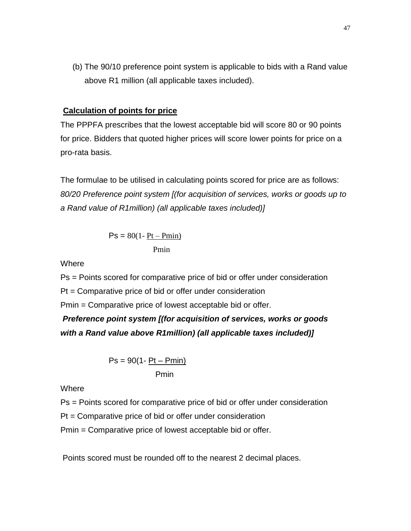(b) The 90/10 preference point system is applicable to bids with a Rand value above R1 million (all applicable taxes included).

### **Calculation of points for price**

The PPPFA prescribes that the lowest acceptable bid will score 80 or 90 points for price. Bidders that quoted higher prices will score lower points for price on a pro-rata basis.

The formulae to be utilised in calculating points scored for price are as follows: *80/20 Preference point system [(for acquisition of services, works or goods up to a Rand value of R1million) (all applicable taxes included)]*

$$
Ps = 80(1 - \frac{Pt - Pmin)}{Pmin}
$$

Where

Ps = Points scored for comparative price of bid or offer under consideration

Pt = Comparative price of bid or offer under consideration

Pmin = Comparative price of lowest acceptable bid or offer.

*Preference point system [(for acquisition of services, works or goods with a Rand value above R1million) (all applicable taxes included)]*

$$
Ps = 90(1 - \frac{Pt - Pmin)}{Pmin}
$$

**Where** 

Ps = Points scored for comparative price of bid or offer under consideration

Pt = Comparative price of bid or offer under consideration

Pmin = Comparative price of lowest acceptable bid or offer.

Points scored must be rounded off to the nearest 2 decimal places.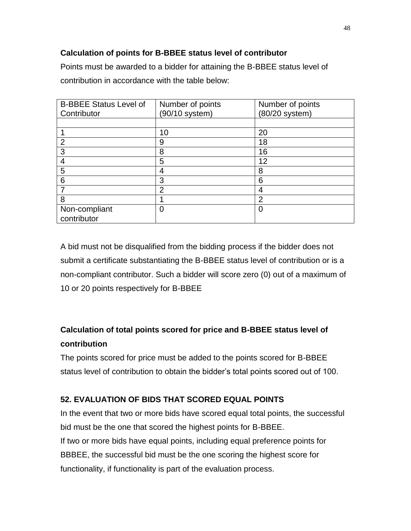# **Calculation of points for B-BBEE status level of contributor**

Points must be awarded to a bidder for attaining the B-BBEE status level of contribution in accordance with the table below:

| <b>B-BBEE Status Level of</b> | Number of points | Number of points |
|-------------------------------|------------------|------------------|
| Contributor                   | (90/10 system)   | (80/20 system)   |
|                               |                  |                  |
|                               | 10               | 20               |
| $\overline{2}$                | 9                | 18               |
| 3                             | 8                | 16               |
| 4                             | 5                | 12               |
| 5                             | 4                | 8                |
| 6                             | 3                | 6                |
| 7                             | $\overline{2}$   | 4                |
| 8                             |                  | $\overline{2}$   |
| Non-compliant                 | 0                | O                |
| contributor                   |                  |                  |

A bid must not be disqualified from the bidding process if the bidder does not submit a certificate substantiating the B-BBEE status level of contribution or is a non-compliant contributor. Such a bidder will score zero (0) out of a maximum of 10 or 20 points respectively for B-BBEE

# **Calculation of total points scored for price and B-BBEE status level of contribution**

The points scored for price must be added to the points scored for B-BBEE status level of contribution to obtain the bidder's total points scored out of 100.

# **52. EVALUATION OF BIDS THAT SCORED EQUAL POINTS**

In the event that two or more bids have scored equal total points, the successful bid must be the one that scored the highest points for B-BBEE. If two or more bids have equal points, including equal preference points for BBBEE, the successful bid must be the one scoring the highest score for functionality, if functionality is part of the evaluation process.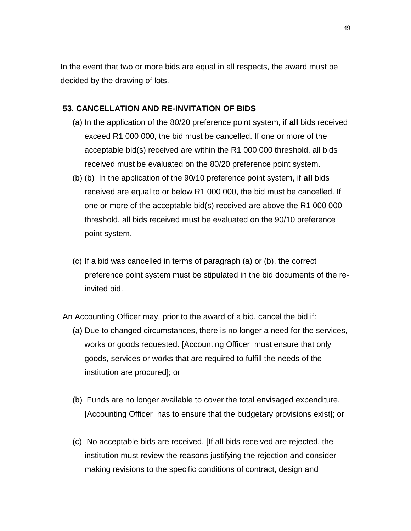In the event that two or more bids are equal in all respects, the award must be decided by the drawing of lots.

### **53. CANCELLATION AND RE-INVITATION OF BIDS**

- (a) In the application of the 80/20 preference point system, if **all** bids received exceed R1 000 000, the bid must be cancelled. If one or more of the acceptable bid(s) received are within the R1 000 000 threshold, all bids received must be evaluated on the 80/20 preference point system.
- (b) (b) In the application of the 90/10 preference point system, if **all** bids received are equal to or below R1 000 000, the bid must be cancelled. If one or more of the acceptable bid(s) received are above the R1 000 000 threshold, all bids received must be evaluated on the 90/10 preference point system.
- (c) If a bid was cancelled in terms of paragraph (a) or (b), the correct preference point system must be stipulated in the bid documents of the reinvited bid.
- An Accounting Officer may, prior to the award of a bid, cancel the bid if:
	- (a) Due to changed circumstances, there is no longer a need for the services, works or goods requested. [Accounting Officer must ensure that only goods, services or works that are required to fulfill the needs of the institution are procured]; or
	- (b) Funds are no longer available to cover the total envisaged expenditure. [Accounting Officer has to ensure that the budgetary provisions exist]; or
	- (c) No acceptable bids are received. [If all bids received are rejected, the institution must review the reasons justifying the rejection and consider making revisions to the specific conditions of contract, design and